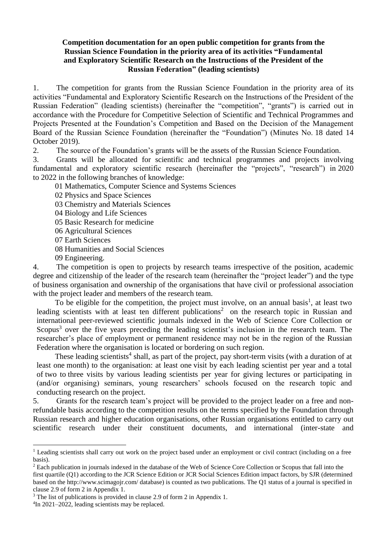# **Competition documentation for an open public competition for grants from the Russian Science Foundation in the priority area of its activities "Fundamental and Exploratory Scientific Research on the Instructions of the President of the Russian Federation" (leading scientists)**

1. The competition for grants from the Russian Science Foundation in the priority area of its activities "Fundamental and Exploratory Scientific Research on the Instructions of the President of the Russian Federation" (leading scientists) (hereinafter the "competition", "grants") is carried out in accordance with the Procedure for Competitive Selection of Scientific and Technical Programmes and Projects Presented at the Foundation's Competition and Based on the Decision of the Management Board of the Russian Science Foundation (hereinafter the "Foundation") (Minutes No. 18 dated 14 October 2019).

2. The source of the Foundation's grants will be the assets of the Russian Science Foundation.

3. Grants will be allocated for scientific and technical programmes and projects involving fundamental and exploratory scientific research (hereinafter the "projects", "research") in 2020 to 2022 in the following branches of knowledge:

01 Mathematics, Computer Science and Systems Sciences

- 02 Physics and Space Sciences
- 03 Chemistry and Materials Sciences
- 04 Biology and Life Sciences
- 05 Basic Research for medicine
- 06 Agricultural Sciences
- 07 Earth Sciences
- 08 Humanities and Social Sciences
- 09 Engineering.

4. The competition is open to projects by research teams irrespective of the position, academic degree and citizenship of the leader of the research team (hereinafter the "project leader") and the type of business organisation and ownership of the organisations that have civil or professional association with the project leader and members of the research team.

To be eligible for the competition, the project must involve, on an annual basis<sup>1</sup>, at least two leading scientists with at least ten different publications<sup>2</sup> on the research topic in Russian and international peer-reviewed scientific journals indexed in the Web of Science Core Collection or Scopus<sup>3</sup> over the five years preceding the leading scientist's inclusion in the research team. The researcher's place of employment or permanent residence may not be in the region of the Russian Federation where the organisation is located or bordering on such region.

These leading scientists<sup>4</sup> shall, as part of the project, pay short-term visits (with a duration of at least one month) to the organisation: at least one visit by each leading scientist per year and a total of two to three visits by various leading scientists per year for giving lectures or participating in (and/or organising) seminars, young researchers' schools focused on the research topic and conducting research on the project.

5. Grants for the research team's project will be provided to the project leader on a free and nonrefundable basis according to the competition results on the terms specified by the Foundation through Russian research and higher education organisations, other Russian organisations entitled to carry out scientific research under their constituent documents, and international (inter-state and

<sup>3</sup> The list of publications is provided in clause 2.9 of form 2 in Appendix 1.

<sup>&</sup>lt;sup>1</sup> Leading scientists shall carry out work on the project based under an employment or civil contract (including on a free basis).

 $<sup>2</sup>$  Each publication in journals indexed in the database of the Web of Science Core Collection or Scopus that fall into the</sup> first quartile (Q1) according to the JCR Science Edition or JCR Social Sciences Edition impact factors, by SJR (determined based on the<http://www.scimagojr.com/> database) is counted as two publications. The Q1 status of a journal is specified in clause 2.9 of form 2 in Appendix 1.

<sup>4</sup> In 2021–2022, leading scientists may be replaced.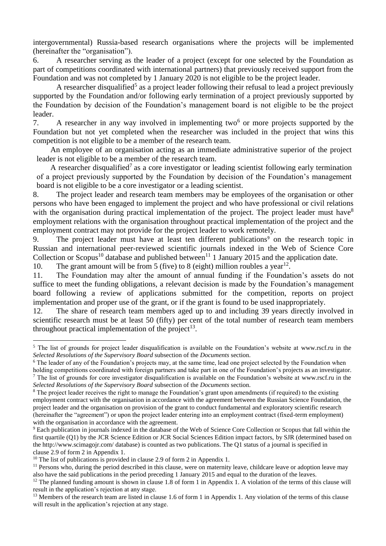intergovernmental) Russia-based research organisations where the projects will be implemented (hereinafter the "organisation").

6. A researcher serving as the leader of a project (except for one selected by the Foundation as part of competitions coordinated with international partners) that previously received support from the Foundation and was not completed by 1 January 2020 is not eligible to be the project leader.

A researcher disqualified<sup>5</sup> as a project leader following their refusal to lead a project previously supported by the Foundation and/or following early termination of a project previously supported by the Foundation by decision of the Foundation's management board is not eligible to be the project leader.

7. A researcher in any way involved in implementing two<sup>6</sup> or more projects supported by the Foundation but not yet completed when the researcher was included in the project that wins this competition is not eligible to be a member of the research team.

An employee of an organisation acting as an immediate administrative superior of the project leader is not eligible to be a member of the research team.

A researcher disqualified<sup>7</sup> as a core investigator or leading scientist following early termination of a project previously supported by the Foundation by decision of the Foundation's management board is not eligible to be a core investigator or a leading scientist.

8. The project leader and research team members may be employees of the organisation or other persons who have been engaged to implement the project and who have professional or civil relations with the organisation during practical implementation of the project. The project leader must have<sup>8</sup> employment relations with the organisation throughout practical implementation of the project and the employment contract may not provide for the project leader to work remotely.

9. The project leader must have at least ten different publications<sup>9</sup> on the research topic in Russian and international peer-reviewed scientific journals indexed in the Web of Science Core Collection or Scopus<sup>10</sup> database and published between<sup>11</sup> 1 January 2015 and the application date.

10. The grant amount will be from 5 (five) to 8 (eight) million roubles a year<sup>12</sup>.

11. The Foundation may alter the amount of annual funding if the Foundation's assets do not suffice to meet the funding obligations, a relevant decision is made by the Foundation's management board following a review of applications submitted for the competition, reports on project implementation and proper use of the grant, or if the grant is found to be used inappropriately.

12. The share of research team members aged up to and including 39 years directly involved in scientific research must be at least 50 (fifty) per cent of the total number of research team members throughout practical implementation of the project<sup>13</sup>.

<sup>&</sup>lt;sup>5</sup> The list of grounds for project leader disqualification is available on the Foundation's website at [www.rscf.ru](http://www.rscf.ru/) in the *Selected Resolutions of the Supervisory Board* subsection of the *Documents* section.

<sup>&</sup>lt;sup>6</sup> The leader of any of the Foundation's projects may, at the same time, lead one project selected by the Foundation when holding competitions coordinated with foreign partners and take part in one of the Foundation's projects as an investigator.  $<sup>7</sup>$  The list of grounds for core investigator disqualification is available on the Foundation's website at [www.rscf.ru](http://www.rscf.ru/) in the</sup>

*Selected Resolutions of the Supervisory Board* subsection of the *Documents* section.

<sup>&</sup>lt;sup>8</sup> The project leader receives the right to manage the Foundation's grant upon amendments (if required) to the existing employment contract with the organisation in accordance with the agreement between the Russian Science Foundation, the project leader and the organisation on provision of the grant to conduct fundamental and exploratory scientific research (hereinafter the "agreement") or upon the project leader entering into an employment contract (fixed-term employment) with the organisation in accordance with the agreement.

<sup>9</sup> Each publication in journals indexed in the database of the Web of Science Core Collection or Scopus that fall within the first quartile (Q1) by the JCR Science Edition or JCR Social Sciences Edition impact factors, by SJR (determined based on th[e http://www.scimagojr.com/](http://www.scimagojr.com/) database) is counted as two publications. The Q1 status of a journal is specified in clause 2.9 of form 2 in Appendix 1.

<sup>&</sup>lt;sup>10</sup> The list of publications is provided in clause 2.9 of form 2 in Appendix 1.

 $<sup>11</sup>$  Persons who, during the period described in this clause, were on maternity leave, childcare leave or adoption leave may</sup> also have the said publications in the period preceding 1 January 2015 and equal to the duration of the leaves.

 $12$  The planned funding amount is shown in clause 1.8 of form 1 in Appendix 1. A violation of the terms of this clause will result in the application's rejection at any stage.

 $13$  Members of the research team are listed in clause 1.6 of form 1 in Appendix 1. Any violation of the terms of this clause will result in the application's rejection at any stage.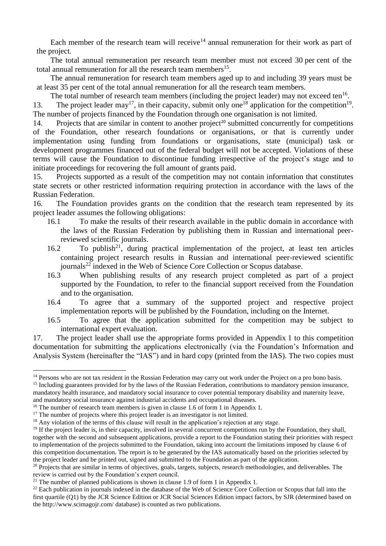Each member of the research team will receive<sup>14</sup> annual remuneration for their work as part of the project.

The total annual remuneration per research team member must not exceed 30 per cent of the total annual remuneration for all the research team members<sup>15</sup>.

The annual remuneration for research team members aged up to and including 39 years must be at least 35 per cent of the total annual remuneration for all the research team members.

The total number of research team members (including the project leader) may not exceed ten<sup>16</sup>. 13. The project leader may<sup>17</sup>, in their capacity, submit only one<sup>18</sup> application for the competition<sup>19</sup>. The number of projects financed by the Foundation through one organisation is not limited.

14. Projects that are similar in content to another project<sup>20</sup> submitted concurrently for competitions of the Foundation, other research foundations or organisations, or that is currently under implementation using funding from foundations or organisations, state (municipal) task or development programmes financed out of the federal budget will not be accepted. Violations of these terms will cause the Foundation to discontinue funding irrespective of the project's stage and to initiate proceedings for recovering the full amount of grants paid.

15. Projects supported as a result of the competition may not contain information that constitutes state secrets or other restricted information requiring protection in accordance with the laws of the Russian Federation.

16. The Foundation provides grants on the condition that the research team represented by its project leader assumes the following obligations:

- 16.1 To make the results of their research available in the public domain in accordance with the laws of the Russian Federation by publishing them in Russian and international peerreviewed scientific journals.
- 16.2 To publish<sup>21</sup>, during practical implementation of the project, at least ten articles containing project research results in Russian and international peer-reviewed scientific journals<sup>22</sup> indexed in the Web of Science Core Collection or Scopus database.<br>16.3 When publishing results of any research project completed as pa
- When publishing results of any research project completed as part of a project supported by the Foundation, to refer to the financial support received from the Foundation and to the organisation.
- 16.4 To agree that a summary of the supported project and respective project implementation reports will be published by the Foundation, including on the Internet.
- 16.5 To agree that the application submitted for the competition may be subject to international expert evaluation.

17. The project leader shall use the appropriate forms provided in Appendix 1 to this competition documentation for submitting the applications electronically (via the Foundation's Information and Analysis System (hereinafter the "IAS") and in hard copy (printed from the IAS). The two copies must

<sup>-</sup><sup>14</sup> Persons who are not tax resident in the Russian Federation may carry out work under the Project on a pro bono basis.

<sup>&</sup>lt;sup>15</sup> Including guarantees provided for by the laws of the Russian Federation, contributions to mandatory pension insurance, mandatory health insurance, and mandatory social insurance to cover potential temporary disability and maternity leave, and mandatory social insurance against industrial accidents and occupational diseases.

<sup>&</sup>lt;sup>16</sup> The number of research team members is given in clause 1.6 of form 1 in Appendix 1.

<sup>&</sup>lt;sup>17</sup> The number of projects where this project leader is an investigator is not limited.

<sup>&</sup>lt;sup>18</sup> Any violation of the terms of this clause will result in the application's rejection at any stage.

<sup>&</sup>lt;sup>19</sup> If the project leader is, in their capacity, involved in several concurrent competitions run by the Foundation, they shall, together with the second and subsequent applications, provide a report to the Foundation stating their priorities with respect to implementation of the projects submitted to the Foundation, taking into account the limitations imposed by clause 6 of this competition documentation. The report is to be generated by the IAS automatically based on the priorities selected by the project leader and be printed out, signed and submitted to the Foundation as part of the application.

<sup>&</sup>lt;sup>20</sup> Projects that are similar in terms of objectives, goals, targets, subjects, research methodologies, and deliverables. The review is carried out by the Foundation's expert council.

<sup>&</sup>lt;sup>21</sup> The number of planned publications is shown in clause 1.9 of form 1 in Appendix 1.

<sup>&</sup>lt;sup>22</sup> Each publication in journals indexed in the database of the Web of Science Core Collection or Scopus that fall into the first quartile (Q1) by the JCR Science Edition or JCR Social Sciences Edition impact factors, by SJR (determined based on th[e http://www.scimagojr.com/](http://www.scimagojr.com/) database) is counted as two publications.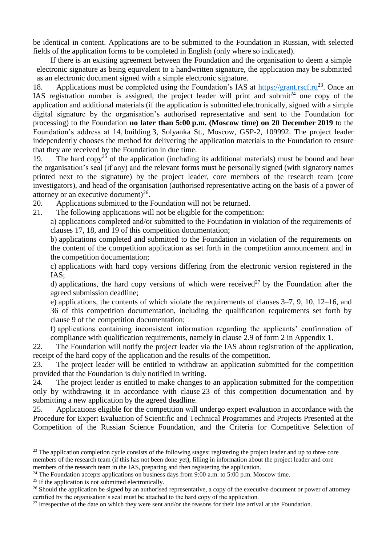be identical in content. Applications are to be submitted to the Foundation in Russian, with selected fields of the application forms to be completed in English (only where so indicated).

If there is an existing agreement between the Foundation and the organisation to deem a simple electronic signature as being equivalent to a handwritten signature, the application may be submitted as an electronic document signed with a simple electronic signature.

18. Applications must be completed using the Foundation's IAS at [https://grant.rscf.ru](https://grant.rscf.ru/)<sup>23</sup>. Once an IAS registration number is assigned, the project leader will print and submit<sup>24</sup> one copy of the application and additional materials (if the application is submitted electronically, signed with a simple digital signature by the organisation's authorised representative and sent to the Foundation for processing) to the Foundation **no later than 5:00 p.m. (Moscow time) on 20 December 2019** to the Foundation's address at 14, building 3, Solyanka St., Moscow, GSP-2, 109992. The project leader independently chooses the method for delivering the application materials to the Foundation to ensure that they are received by the Foundation in due time.

19. The hard copy<sup>25</sup> of the application (including its additional materials) must be bound and bear the organisation's seal (if any) and the relevant forms must be personally signed (with signatory names printed next to the signature) by the project leader, core members of the research team (core investigators), and head of the organisation (authorised representative acting on the basis of a power of attorney or an executive document) $^{26}$ .

- 20. Applications submitted to the Foundation will not be returned.
- 21. The following applications will not be eligible for the competition:

a) applications completed and/or submitted to the Foundation in violation of the requirements of clauses 17, 18, and 19 of this competition documentation;

b) applications completed and submitted to the Foundation in violation of the requirements on the content of the competition application as set forth in the competition announcement and in the competition documentation;

c) applications with hard copy versions differing from the electronic version registered in the IAS;

d) applications, the hard copy versions of which were received<sup>27</sup> by the Foundation after the agreed submission deadline;

e) applications, the contents of which violate the requirements of clauses 3–7, 9, 10, 12–16, and 36 of this competition documentation, including the qualification requirements set forth by clause 9 of the competition documentation;

f) applications containing inconsistent information regarding the applicants' confirmation of compliance with qualification requirements, namely in clause 2.9 of form 2 in Appendix 1.

22. The Foundation will notify the project leader via the IAS about registration of the application, receipt of the hard copy of the application and the results of the competition.

23. The project leader will be entitled to withdraw an application submitted for the competition provided that the Foundation is duly notified in writing.

24. The project leader is entitled to make changes to an application submitted for the competition only by withdrawing it in accordance with clause 23 of this competition documentation and by submitting a new application by the agreed deadline.

25. Applications eligible for the competition will undergo expert evaluation in accordance with the Procedure for Expert Evaluation of Scientific and Technical Programmes and Projects Presented at the Competition of the Russian Science Foundation, and the Criteria for Competitive Selection of

<sup>&</sup>lt;sup>23</sup> The application completion cycle consists of the following stages: registering the project leader and up to three core members of the research team (if this has not been done yet), filling in information about the project leader and core members of the research team in the IAS, preparing and then registering the application.

 $24$  The Foundation accepts applications on business days from 9:00 a.m. to 5:00 p.m. Moscow time.

<sup>&</sup>lt;sup>25</sup> If the application is not submitted electronically.

<sup>&</sup>lt;sup>26</sup> Should the application be signed by an authorised representative, a copy of the executive document or power of attorney certified by the organisation's seal must be attached to the hard copy of the application.

 $27$  Irrespective of the date on which they were sent and/or the reasons for their late arrival at the Foundation.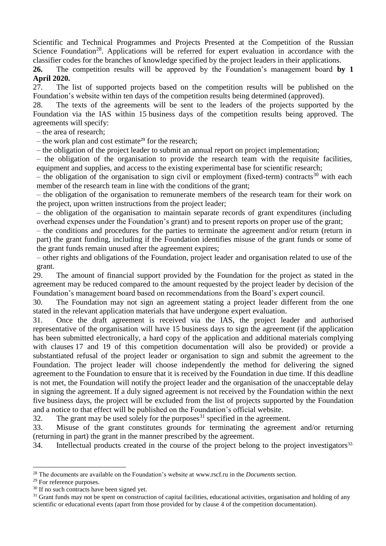Scientific and Technical Programmes and Projects Presented at the Competition of the Russian Science Foundation<sup>28</sup>. Applications will be referred for expert evaluation in accordance with the classifier codes for the branches of knowledge specified by the project leaders in their applications.

**26.** The competition results will be approved by the Foundation's management board **by 1 April 2020.**

27. The list of supported projects based on the competition results will be published on the Foundation's website within ten days of the competition results being determined (approved).

28. The texts of the agreements will be sent to the leaders of the projects supported by the Foundation via the IAS within 15 business days of the competition results being approved. The agreements will specify:

– the area of research;

– the work plan and cost estimate<sup>29</sup> for the research;

– the obligation of the project leader to submit an annual report on project implementation;

– the obligation of the organisation to provide the research team with the requisite facilities, equipment and supplies, and access to the existing experimental base for scientific research;

– the obligation of the organisation to sign civil or employment (fixed-term) contracts<sup>30</sup> with each member of the research team in line with the conditions of the grant;

– the obligation of the organisation to remunerate members of the research team for their work on the project, upon written instructions from the project leader;

– the obligation of the organisation to maintain separate records of grant expenditures (including overhead expenses under the Foundation's grant) and to present reports on proper use of the grant;

– the conditions and procedures for the parties to terminate the agreement and/or return (return in part) the grant funding, including if the Foundation identifies misuse of the grant funds or some of the grant funds remain unused after the agreement expires;

– other rights and obligations of the Foundation, project leader and organisation related to use of the grant.

29. The amount of financial support provided by the Foundation for the project as stated in the agreement may be reduced compared to the amount requested by the project leader by decision of the Foundation's management board based on recommendations from the Board's expert council.

30. The Foundation may not sign an agreement stating a project leader different from the one stated in the relevant application materials that have undergone expert evaluation.

31. Once the draft agreement is received via the IAS, the project leader and authorised representative of the organisation will have 15 business days to sign the agreement (if the application has been submitted electronically, a hard copy of the application and additional materials complying with clauses 17 and 19 of this competition documentation will also be provided) or provide a substantiated refusal of the project leader or organisation to sign and submit the agreement to the Foundation. The project leader will choose independently the method for delivering the signed agreement to the Foundation to ensure that it is received by the Foundation in due time. If this deadline is not met, the Foundation will notify the project leader and the organisation of the unacceptable delay in signing the agreement. If a duly signed agreement is not received by the Foundation within the next five business days, the project will be excluded from the list of projects supported by the Foundation and a notice to that effect will be published on the Foundation's official website.

32. The grant may be used solely for the purposes<sup>31</sup> specified in the agreement.

33. Misuse of the grant constitutes grounds for terminating the agreement and/or returning (returning in part) the grant in the manner prescribed by the agreement.

34. Intellectual products created in the course of the project belong to the project investigators<sup>32.</sup>

<sup>1</sup> <sup>28</sup> The documents are available on the Foundation's website at [www.rscf.ru](http://www.rscf.ru/) in the *Documents* section.

<sup>&</sup>lt;sup>29</sup> For reference purposes.

<sup>&</sup>lt;sup>30</sup> If no such contracts have been signed yet.

 $31$  Grant funds may not be spent on construction of capital facilities, educational activities, organisation and holding of any scientific or educational events (apart from those provided for by clause 4 of the competition documentation).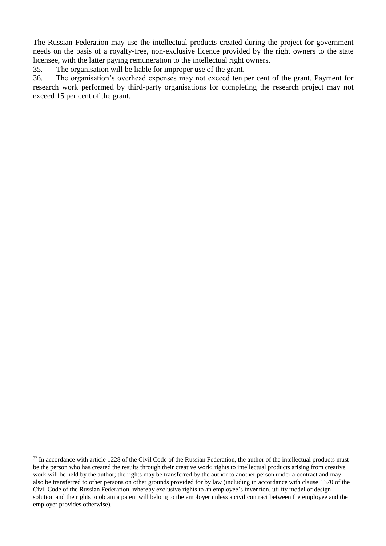The Russian Federation may use the intellectual products created during the project for government needs on the basis of a royalty-free, non-exclusive licence provided by the right owners to the state licensee, with the latter paying remuneration to the intellectual right owners.

35. The organisation will be liable for improper use of the grant.

36. The organisation's overhead expenses may not exceed ten per cent of the grant. Payment for research work performed by third-party organisations for completing the research project may not exceed 15 per cent of the grant.

<sup>&</sup>lt;sup>32</sup> In accordance with article 1228 of the Civil Code of the Russian Federation, the author of the intellectual products must be the person who has created the results through their creative work; rights to intellectual products arising from creative work will be held by the author; the rights may be transferred by the author to another person under a contract and may also be transferred to other persons on other grounds provided for by law (including in accordance with clause 1370 of the Civil Code of the Russian Federation, whereby exclusive rights to an employee's invention, utility model or design solution and the rights to obtain a patent will belong to the employer unless a civil contract between the employee and the employer provides otherwise).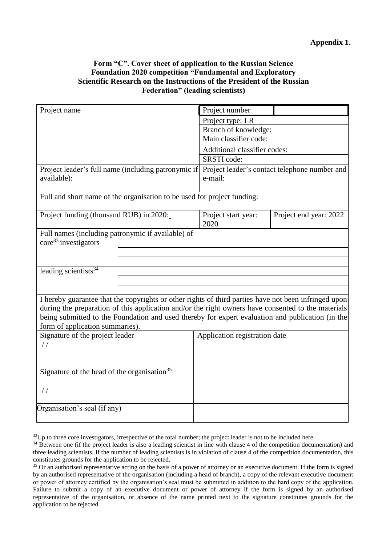# **Form "C". Cover sheet of application to the Russian Science Foundation 2020 competition "Fundamental and Exploratory Scientific Research on the Instructions of the President of the Russian Federation" (leading scientists)**

| Project name                                                            |                                                                                                      | Project number                                           |                              |  |
|-------------------------------------------------------------------------|------------------------------------------------------------------------------------------------------|----------------------------------------------------------|------------------------------|--|
|                                                                         |                                                                                                      | Project type: LR                                         |                              |  |
|                                                                         |                                                                                                      | Branch of knowledge:                                     |                              |  |
|                                                                         |                                                                                                      | Main classifier code:                                    |                              |  |
|                                                                         |                                                                                                      |                                                          | Additional classifier codes: |  |
|                                                                         |                                                                                                      | SRSTI code:                                              |                              |  |
| Project leader's full name (including patronymic if<br>available):      |                                                                                                      | Project leader's contact telephone number and<br>e-mail: |                              |  |
| Full and short name of the organisation to be used for project funding: |                                                                                                      |                                                          |                              |  |
| Project funding (thousand RUB) in 2020:                                 |                                                                                                      | Project start year:<br>2020                              | Project end year: 2022       |  |
| Full names (including patronymic if available) of                       |                                                                                                      |                                                          |                              |  |
| $\text{core}^{33}$ investigators                                        |                                                                                                      |                                                          |                              |  |
|                                                                         |                                                                                                      |                                                          |                              |  |
|                                                                         |                                                                                                      |                                                          |                              |  |
| leading scientists $34$                                                 |                                                                                                      |                                                          |                              |  |
|                                                                         |                                                                                                      |                                                          |                              |  |
|                                                                         |                                                                                                      |                                                          |                              |  |
|                                                                         | I hereby guarantee that the copyrights or other rights of third parties have not been infringed upon |                                                          |                              |  |
|                                                                         | during the preparation of this application and/or the right owners have consented to the materials   |                                                          |                              |  |
|                                                                         | being submitted to the Foundation and used thereby for expert evaluation and publication (in the     |                                                          |                              |  |
| form of application summaries).                                         |                                                                                                      |                                                          |                              |  |
| Signature of the project leader                                         |                                                                                                      | Application registration date                            |                              |  |
| $\frac{1}{2}$                                                           |                                                                                                      |                                                          |                              |  |
|                                                                         |                                                                                                      |                                                          |                              |  |
| Signature of the head of the organisation <sup>35</sup>                 |                                                                                                      |                                                          |                              |  |
|                                                                         |                                                                                                      |                                                          |                              |  |
| $\frac{1}{2}$                                                           |                                                                                                      |                                                          |                              |  |
|                                                                         |                                                                                                      |                                                          |                              |  |
| Organisation's seal (if any)                                            |                                                                                                      |                                                          |                              |  |
|                                                                         |                                                                                                      |                                                          |                              |  |

**.** 

 $33$ Up to three core investigators, irrespective of the total number; the project leader is not to be included here.

<sup>&</sup>lt;sup>34</sup> Between one (if the project leader is also a leading scientist in line with clause 4 of the competition documentation) and three leading scientists. If the number of leading scientists is in violation of clause 4 of the competition documentation, this constitutes grounds for the application to be rejected.

<sup>&</sup>lt;sup>35</sup> Or an authorised representative acting on the basis of a power of attorney or an executive document. If the form is signed by an authorised representative of the organisation (including a head of branch), a copy of the relevant executive document or power of attorney certified by the organisation's seal must be submitted in addition to the hard copy of the application. Failure to submit a copy of an executive document or power of attorney if the form is signed by an authorised representative of the organisation, or absence of the name printed next to the signature constitutes grounds for the application to be rejected.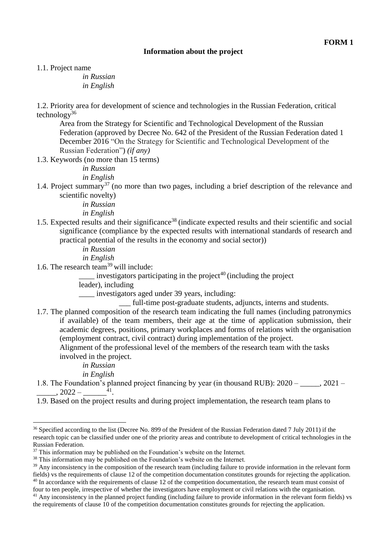# **Information about the project**

1.1. Project name

*in Russian in English*

1.2. Priority area for development of science and technologies in the Russian Federation, critical technology<sup>36</sup>

Area from the Strategy for Scientific and Technological Development of the Russian Federation (approved by Decree No. 642 of the President of the Russian Federation dated 1 December 2016 "On the Strategy for Scientific and Technological Development of the Russian Federation") *(if any)*

1.3. Keywords (no more than 15 terms)

*in Russian in English*

1.4. Project summary<sup>37</sup> (no more than two pages, including a brief description of the relevance and scientific novelty)

*in Russian*

*in English*

1.5. Expected results and their significance<sup>38</sup> (indicate expected results and their scientific and social significance (compliance by the expected results with international standards of research and practical potential of the results in the economy and social sector))

*in Russian*

*in English*

1.6. The research team<sup>39</sup> will include:

 $\equiv$  investigators participating in the project<sup>40</sup> (including the project

leader), including

\_\_\_\_ investigators aged under 39 years, including:

\_\_\_ full-time post-graduate students, adjuncts, interns and students.

1.7. The planned composition of the research team indicating the full names (including patronymics if available) of the team members, their age at the time of application submission, their academic degrees, positions, primary workplaces and forms of relations with the organisation (employment contract, civil contract) during implementation of the project.

Alignment of the professional level of the members of the research team with the tasks involved in the project.

*in Russian*

1

*in English*

1.8. The Foundation's planned project financing by year (in thousand RUB):  $2020 - 2021 - 1$  $\frac{1}{2022} - \frac{41}{1}$ 

1.9. Based on the project results and during project implementation, the research team plans to

four to ten people, irrespective of whether the investigators have employment or civil relations with the organisation.

<sup>&</sup>lt;sup>36</sup> Specified according to the list (Decree No. 899 of the President of the Russian Federation dated 7 July 2011) if the research topic can be classified under one of the priority areas and contribute to development of critical technologies in the Russian Federation.

 $37$  This information may be published on the Foundation's website on the Internet.

<sup>&</sup>lt;sup>38</sup> This information may be published on the Foundation's website on the Internet.

<sup>&</sup>lt;sup>39</sup> Any inconsistency in the composition of the research team (including failure to provide information in the relevant form fields) vs the requirements of clause 12 of the competition documentation constitutes grounds for rejecting the application.  $40$  In accordance with the requirements of clause 12 of the competition documentation, the research team must consist of

<sup>&</sup>lt;sup>41</sup> Any inconsistency in the planned project funding (including failure to provide information in the relevant form fields) vs the requirements of clause 10 of the competition documentation constitutes grounds for rejecting the application.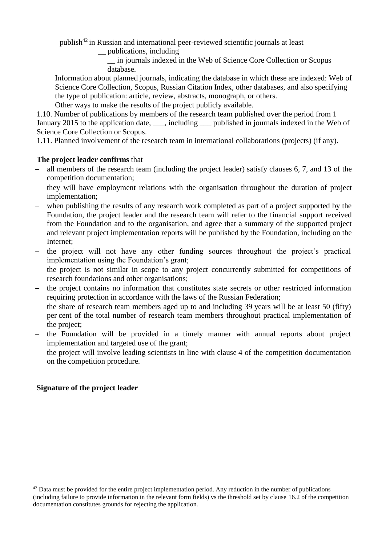publish<sup>42</sup> in Russian and international peer-reviewed scientific journals at least

\_\_ publications, including

\_\_ in journals indexed in the Web of Science Core Collection or Scopus database.

Information about planned journals, indicating the database in which these are indexed: Web of Science Core Collection, Scopus, Russian Citation Index, other databases, and also specifying the type of publication: article, review, abstracts, monograph, or others.

Other ways to make the results of the project publicly available.

1.10. Number of publications by members of the research team published over the period from 1 January 2015 to the application date, \_\_\_, including \_\_\_ published in journals indexed in the Web of Science Core Collection or Scopus.

1.11. Planned involvement of the research team in international collaborations (projects) (if any).

# **The project leader confirms** that

- all members of the research team (including the project leader) satisfy clauses 6, 7, and 13 of the competition documentation;
- they will have employment relations with the organisation throughout the duration of project implementation;
- when publishing the results of any research work completed as part of a project supported by the Foundation, the project leader and the research team will refer to the financial support received from the Foundation and to the organisation, and agree that a summary of the supported project and relevant project implementation reports will be published by the Foundation, including on the Internet;
- the project will not have any other funding sources throughout the project's practical implementation using the Foundation's grant;
- the project is not similar in scope to any project concurrently submitted for competitions of research foundations and other organisations;
- the project contains no information that constitutes state secrets or other restricted information requiring protection in accordance with the laws of the Russian Federation;
- the share of research team members aged up to and including 39 years will be at least 50 (fifty) per cent of the total number of research team members throughout practical implementation of the project;
- the Foundation will be provided in a timely manner with annual reports about project implementation and targeted use of the grant;
- the project will involve leading scientists in line with clause 4 of the competition documentation on the competition procedure.

# **Signature of the project leader**

**<sup>.</sup>**  $42$  Data must be provided for the entire project implementation period. Any reduction in the number of publications (including failure to provide information in the relevant form fields) vs the threshold set by clause 16.2 of the competition documentation constitutes grounds for rejecting the application.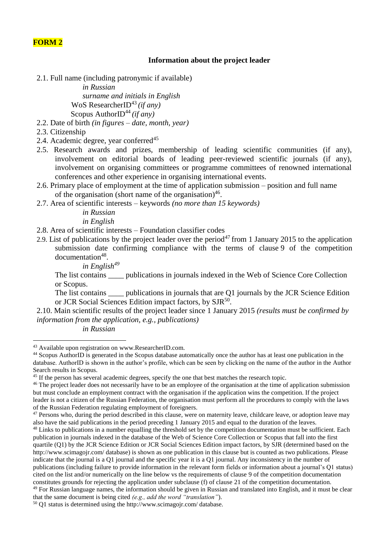# **FORM 2**

### **Information about the project leader**

2.1. Full name (including patronymic if available)

*in Russian surname and initials in English* WoS ResearcherID<sup>43</sup> *(if any)* Scopus AuthorID<sup>44</sup> *(if any)* 

- 2.2. Date of birth *(in figures – date, month, year)*
- 2.3. Citizenship
- 2.4. Academic degree, year conferred $45$
- 2.5. Research awards and prizes, membership of leading scientific communities (if any), involvement on editorial boards of leading peer-reviewed scientific journals (if any), involvement on organising committees or programme committees of renowned international conferences and other experience in organising international events.
- 2.6. Primary place of employment at the time of application submission position and full name of the organisation (short name of the organisation) $46$ .
- 2.7. Area of scientific interests keywords *(no more than 15 keywords)*

*in Russian*

*in English*

- 2.8. Area of scientific interests Foundation classifier codes
- 2.9. List of publications by the project leader over the period<sup>47</sup> from 1 January 2015 to the application submission date confirming compliance with the terms of clause 9 of the competition documentation<sup>48</sup>.
	- *in English<sup>49</sup>*

The list contains \_\_\_\_ publications in journals indexed in the Web of Science Core Collection or Scopus.

The list contains \_\_\_\_\_ publications in journals that are Q1 journals by the JCR Science Edition or JCR Social Sciences Edition impact factors, by SJR<sup>50</sup>.

2.10. Main scientific results of the project leader since 1 January 2015 *(results must be confirmed by information from the application, e.g., publications)*

*in Russian*

1

<sup>50</sup> Q1 status is determined using the [http://www.scimagojr.com/ database.](http://www.scimagojr.com/)

<sup>43</sup> Available upon registration on [www.ResearcherID.com.](http://www.researcherid.com/)

<sup>44</sup> Scopus AuthorID is generated in the Scopus database automatically once the author has at least one publication in the database. AuthorID is shown in the author's profile, which can be seen by clicking on the name of the author in the Author Search results in Scopus.

<sup>&</sup>lt;sup>45</sup> If the person has several academic degrees, specify the one that best matches the research topic.

<sup>&</sup>lt;sup>46</sup> The project leader does not necessarily have to be an employee of the organisation at the time of application submission but must conclude an employment contract with the organisation if the application wins the competition. If the project leader is not a citizen of the Russian Federation, the organisation must perform all the procedures to comply with the laws of the Russian Federation regulating employment of foreigners.

 $47$  Persons who, during the period described in this clause, were on maternity leave, childcare leave, or adoption leave may also have the said publications in the period preceding 1 January 2015 and equal to the duration of the leaves.

 $48$  Links to publications in a number equalling the threshold set by the competition documentation must be sufficient. Each publication in journals indexed in the database of the Web of Science Core Collection or Scopus that fall into the first quartile (Q1) by the JCR Science Edition or JCR Social Sciences Edition impact factors, by SJR (determined based on the <http://www.scimagojr.com/> database) is shown as one publication in this clause but is counted as two publications. Please indicate that the journal is a Q1 journal and the specific year it is a Q1 journal. Any inconsistency in the number of publications (including failure to provide information in the relevant form fields or information about a journal's Q1 status) cited on the list and/or numerically on the line below vs the requirements of clause 9 of the competition documentation constitutes grounds for rejecting the application under subclause (f) of clause 21 of the competition documentation. <sup>49</sup> For Russian language names, the information should be given in Russian and translated into English, and it must be clear

that the same document is being cited *(e.g., add the word "translation"*).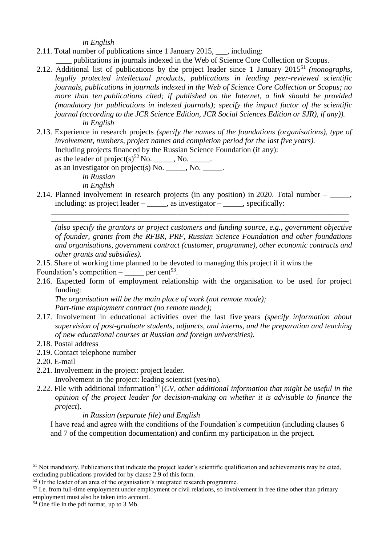*in English*

2.11. Total number of publications since 1 January 2015, \_\_\_, including:

publications in journals indexed in the Web of Science Core Collection or Scopus.

- 2.12. Additional list of publications by the project leader since 1 January 2015<sup>51</sup> *(monographs, legally protected intellectual products, publications in leading peer-reviewed scientific journals, publications in journals indexed in the Web of Science Core Collection or Scopus; no more than ten publications cited; if published on the Internet, a link should be provided (mandatory for publications in indexed journals); specify the impact factor of the scientific journal (according to the JCR Science Edition, JCR Social Sciences Edition or SJR), if any)). in English*
- 2.13. Experience in research projects *(specify the names of the foundations (organisations), type of involvement, numbers, project names and completion period for the last five years).*

Including projects financed by the Russian Science Foundation (if any):

as the leader of project(s)<sup>52</sup> No. \_\_\_\_\_, No. \_\_\_\_\_. as an investigator on project(s) No.  $\qquad \qquad$  No.  $\qquad \qquad$ .

*in Russian*

*in English*

2.14. Planned involvement in research projects (in any position) in 2020. Total number  $-$  \_\_\_\_\_, including: as project leader  $-\underline{\hspace{2cm}}$ , as investigator  $-\underline{\hspace{2cm}}$ , specifically:

\_\_\_\_\_\_\_\_\_\_\_\_\_\_\_\_\_\_\_\_\_\_\_\_\_\_\_\_\_\_\_\_\_\_\_\_\_\_\_\_\_\_\_\_\_\_\_\_\_\_\_\_\_\_\_\_\_\_\_\_\_\_\_\_\_\_\_\_\_\_\_\_\_\_\_\_\_\_\_\_\_\_\_\_\_\_\_\_\_\_\_\_ \_\_\_\_\_\_\_\_\_\_\_\_\_\_\_\_\_\_\_\_\_\_\_\_\_\_\_\_\_\_\_\_\_\_\_\_\_\_\_\_\_\_\_\_\_\_\_\_\_\_\_\_\_\_\_\_\_\_\_\_\_\_\_\_\_\_\_\_\_\_\_\_\_\_\_\_\_\_\_\_\_\_\_\_\_\_\_\_\_\_\_\_

*(also specify the grantors or project customers and funding source, e.g., government objective of founder, grants from the RFBR, PRF, Russian Science Foundation and other foundations and organisations, government contract (customer, programme), other economic contracts and other grants and subsidies).*

- 2.15. Share of working time planned to be devoted to managing this project if it wins the
- Foundation's competition  $-\underline{\hspace{2cm}}$  per cent<sup>53</sup>.
- 2.16. Expected form of employment relationship with the organisation to be used for project funding:

*The organisation will be the main place of work (not remote mode); Part-time employment contract (no remote mode);*

- 2.17. Involvement in educational activities over the last five years *(specify information about supervision of post-graduate students, adjuncts, and interns, and the preparation and teaching of new educational courses at Russian and foreign universities)*.
- 2.18. Postal address
- 2.19. Contact telephone number

2.20. E-mail

-

2.21. Involvement in the project: project leader.

Involvement in the project: leading scientist (yes/no).

2.22. File with additional information<sup>54</sup> (*CV, other additional information that might be useful in the opinion of the project leader for decision-making on whether it is advisable to finance the project*).

*in Russian (separate file) and English*

I have read and agree with the conditions of the Foundation's competition (including clauses 6 and 7 of the competition documentation) and confirm my participation in the project.

 $<sup>51</sup>$  Not mandatory. Publications that indicate the project leader's scientific qualification and achievements may be cited,</sup> excluding publications provided for by clause 2.9 of this form.

 $52$  Or the leader of an area of the organisation's integrated research programme.

<sup>&</sup>lt;sup>53</sup> I.e. from full-time employment under employment or civil relations, so involvement in free time other than primary employment must also be taken into account.

<sup>54</sup> One file in the pdf format, up to 3 Mb.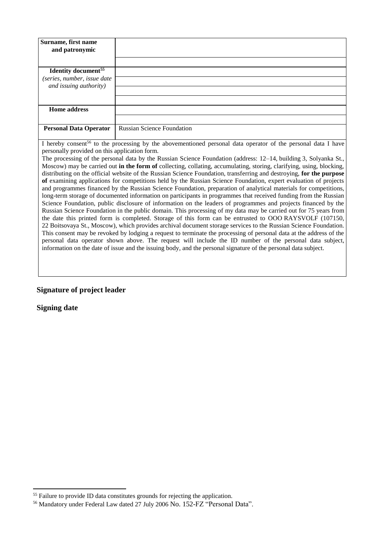| Surname, first name                                                                                                  |                                                                                                                           |  |  |  |
|----------------------------------------------------------------------------------------------------------------------|---------------------------------------------------------------------------------------------------------------------------|--|--|--|
| and patronymic                                                                                                       |                                                                                                                           |  |  |  |
|                                                                                                                      |                                                                                                                           |  |  |  |
|                                                                                                                      |                                                                                                                           |  |  |  |
| <b>Identity document</b> <sup>55</sup>                                                                               |                                                                                                                           |  |  |  |
| (series, number, issue date                                                                                          |                                                                                                                           |  |  |  |
| and issuing authority)                                                                                               |                                                                                                                           |  |  |  |
|                                                                                                                      |                                                                                                                           |  |  |  |
|                                                                                                                      |                                                                                                                           |  |  |  |
| <b>Home address</b>                                                                                                  |                                                                                                                           |  |  |  |
|                                                                                                                      |                                                                                                                           |  |  |  |
| <b>Personal Data Operator</b>                                                                                        | <b>Russian Science Foundation</b>                                                                                         |  |  |  |
|                                                                                                                      |                                                                                                                           |  |  |  |
|                                                                                                                      | I hereby consent <sup>56</sup> to the processing by the abovementioned personal data operator of the personal data I have |  |  |  |
| personally provided on this application form.                                                                        |                                                                                                                           |  |  |  |
|                                                                                                                      | The processing of the personal data by the Russian Science Foundation (address: 12–14, building 3, Solyanka St.,          |  |  |  |
| Moscow) may be carried out in the form of collecting, collating, accumulating, storing, clarifying, using, blocking, |                                                                                                                           |  |  |  |
| distributing on the official website of the Russian Science Foundation, transferring and destroying, for the purpose |                                                                                                                           |  |  |  |
| of examining applications for competitions held by the Russian Science Foundation, expert evaluation of projects     |                                                                                                                           |  |  |  |
| and programmes financed by the Russian Science Foundation, preparation of analytical materials for competitions,     |                                                                                                                           |  |  |  |
| long-term storage of documented information on participants in programmes that received funding from the Russian     |                                                                                                                           |  |  |  |
| Science Foundation, public disclosure of information on the leaders of programmes and projects financed by the       |                                                                                                                           |  |  |  |
|                                                                                                                      |                                                                                                                           |  |  |  |
| Russian Science Foundation in the public domain. This processing of my data may be carried out for 75 years from     |                                                                                                                           |  |  |  |
| the date this printed form is completed. Storage of this form can be entrusted to OOO RAYSVOLF (107150,              |                                                                                                                           |  |  |  |
| 22 Boitsovaya St., Moscow), which provides archival document storage services to the Russian Science Foundation.     |                                                                                                                           |  |  |  |
| This consent may be revoked by lodging a request to terminate the processing of personal data at the address of the  |                                                                                                                           |  |  |  |

personal data operator shown above. The request will include the ID number of the personal data subject, information on the date of issue and the issuing body, and the personal signature of the personal data subject.

# **Signature of project leader**

**Signing date**

<sup>&</sup>lt;sup>55</sup> Failure to provide ID data constitutes grounds for rejecting the application.

<sup>56</sup> Mandatory under Federal Law dated 27 July 2006 No. 152-FZ "Personal Data".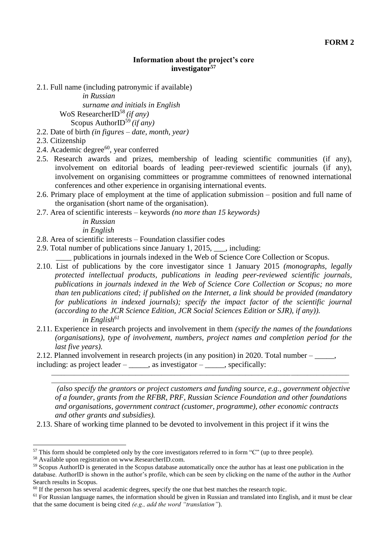#### **Information about the project's core investigator<sup>57</sup>**

2.1. Full name (including patronymic if available)

*in Russian surname and initials in English* WoS ResearcherID<sup>58</sup> *(if any)* Scopus AuthorID<sup>59</sup> *(if any)*

- 2.2. Date of birth *(in figures – date, month, year)*
- 2.3. Citizenship
- 2.4. Academic degree $^{60}$ , year conferred
- 2.5. Research awards and prizes, membership of leading scientific communities (if any), involvement on editorial boards of leading peer-reviewed scientific journals (if any), involvement on organising committees or programme committees of renowned international conferences and other experience in organising international events.
- 2.6. Primary place of employment at the time of application submission position and full name of the organisation (short name of the organisation).
- 2.7. Area of scientific interests keywords *(no more than 15 keywords)*

*in Russian*

*in English*

- 2.8. Area of scientific interests Foundation classifier codes
- 2.9. Total number of publications since January 1, 2015, \_\_\_, including:

\_\_\_\_ publications in journals indexed in the Web of Science Core Collection or Scopus.

- 2.10. List of publications by the core investigator since 1 January 2015 *(monographs, legally protected intellectual products, publications in leading peer-reviewed scientific journals, publications in journals indexed in the Web of Science Core Collection or Scopus; no more than ten publications cited; if published on the Internet, a link should be provided (mandatory for publications in indexed journals); specify the impact factor of the scientific journal (according to the JCR Science Edition, JCR Social Sciences Edition or SJR), if any)). in English<sup>61</sup>*
- 2.11. Experience in research projects and involvement in them *(specify the names of the foundations (organisations), type of involvement, numbers, project names and completion period for the last five years).*

2.12. Planned involvement in research projects (in any position) in 2020. Total number – \_\_\_\_\_, including: as project leader  $-\underline{\hspace{1cm}}$ , as investigator  $-\underline{\hspace{1cm}}$ , specifically:

*(also specify the grantors or project customers and funding source, e.g., government objective of a founder, grants from the RFBR, PRF, Russian Science Foundation and other foundations and organisations, government contract (customer, programme), other economic contracts and other grants and subsidies).*

\_\_\_\_\_\_\_\_\_\_\_\_\_\_\_\_\_\_\_\_\_\_\_\_\_\_\_\_\_\_\_\_\_\_\_\_\_\_\_\_\_\_\_\_\_\_\_\_\_\_\_\_\_\_\_\_\_\_\_\_\_\_\_\_\_\_\_\_\_\_\_\_\_\_\_\_\_\_\_\_\_\_\_\_\_\_\_\_\_\_\_\_ \_\_\_\_\_\_\_\_\_\_\_\_\_\_\_\_\_\_\_\_\_\_\_\_\_\_\_\_\_\_\_\_\_\_\_\_\_\_\_\_\_\_\_\_\_\_\_\_\_\_\_\_\_\_\_\_\_\_\_\_\_\_\_\_\_\_\_\_\_\_\_\_\_\_\_\_\_\_\_\_\_\_\_\_\_\_\_\_\_\_\_\_

2.13. Share of working time planned to be devoted to involvement in this project if it wins the

 $57$  This form should be completed only by the core investigators referred to in form "C" (up to three people).

<sup>58</sup> Available upon registration on [www.ResearcherID.com.](http://www.researcherid.com/)

<sup>59</sup> Scopus AuthorID is generated in the Scopus database automatically once the author has at least one publication in the database. AuthorID is shown in the author's profile, which can be seen by clicking on the name of the author in the Author Search results in Scopus.

<sup>&</sup>lt;sup>60</sup> If the person has several academic degrees, specify the one that best matches the research topic.

 $<sup>61</sup>$  For Russian language names, the information should be given in Russian and translated into English, and it must be clear</sup> that the same document is being cited *(e.g., add the word "translation"*).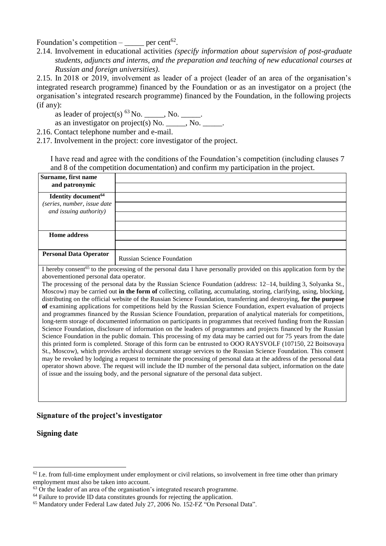Foundation's competition  $-\underline{\hspace{2cm}}$  per cent<sup>62</sup>.

2.14. Involvement in educational activities *(specify information about supervision of post-graduate students, adjuncts and interns, and the preparation and teaching of new educational courses at Russian and foreign universities)*.

2.15. In 2018 or 2019, involvement as leader of a project (leader of an area of the organisation's integrated research programme) financed by the Foundation or as an investigator on a project (the organisation's integrated research programme) financed by the Foundation, in the following projects (if any):

as leader of project(s)  $^{63}$  No. \_\_\_\_\_, No. \_\_\_\_\_.

as an investigator on project(s) No. \_\_\_\_\_, No. \_\_\_\_\_.

2.16. Contact telephone number and e-mail.

2.17. Involvement in the project: core investigator of the project.

I have read and agree with the conditions of the Foundation's competition (including clauses 7 and 8 of the competition documentation) and confirm my participation in the project.

| Surname, first name<br>and patronymic                                                                                                                                                                                           |                                                                                                                                  |  |  |
|---------------------------------------------------------------------------------------------------------------------------------------------------------------------------------------------------------------------------------|----------------------------------------------------------------------------------------------------------------------------------|--|--|
| <b>Identity document</b> <sup>64</sup>                                                                                                                                                                                          |                                                                                                                                  |  |  |
| (series, number, issue date                                                                                                                                                                                                     |                                                                                                                                  |  |  |
| and issuing authority)                                                                                                                                                                                                          |                                                                                                                                  |  |  |
|                                                                                                                                                                                                                                 |                                                                                                                                  |  |  |
| <b>Home address</b>                                                                                                                                                                                                             |                                                                                                                                  |  |  |
|                                                                                                                                                                                                                                 |                                                                                                                                  |  |  |
| <b>Personal Data Operator</b>                                                                                                                                                                                                   | <b>Russian Science Foundation</b>                                                                                                |  |  |
|                                                                                                                                                                                                                                 | I hereby consent <sup>65</sup> to the processing of the personal data I have personally provided on this application form by the |  |  |
| abovementioned personal data operator.                                                                                                                                                                                          |                                                                                                                                  |  |  |
|                                                                                                                                                                                                                                 | The processing of the personal data by the Russian Science Foundation (address: 12–14, building 3, Solyanka St.,                 |  |  |
|                                                                                                                                                                                                                                 | Moscow) may be carried out in the form of collecting, collating, accumulating, storing, clarifying, using, blocking,             |  |  |
|                                                                                                                                                                                                                                 | distributing on the official website of the Russian Science Foundation, transferring and destroying, for the purpose             |  |  |
|                                                                                                                                                                                                                                 | of examining applications for competitions held by the Russian Science Foundation, expert evaluation of projects                 |  |  |
| and programmes financed by the Russian Science Foundation, preparation of analytical materials for competitions,                                                                                                                |                                                                                                                                  |  |  |
| long-term storage of documented information on participants in programmes that received funding from the Russian                                                                                                                |                                                                                                                                  |  |  |
| Science Foundation, disclosure of information on the leaders of programmes and projects financed by the Russian                                                                                                                 |                                                                                                                                  |  |  |
| Science Foundation in the public domain. This processing of my data may be carried out for 75 years from the date                                                                                                               |                                                                                                                                  |  |  |
| this printed form is completed. Storage of this form can be entrusted to OOO RAYSVOLF (107150, 22 Boitsovaya<br>St., Moscow), which provides archival document storage services to the Russian Science Foundation. This consent |                                                                                                                                  |  |  |
|                                                                                                                                                                                                                                 | may be revoked by lodging a request to terminate the processing of personal data at the address of the personal data             |  |  |
|                                                                                                                                                                                                                                 | operator shown above. The request will include the ID number of the personal data subject information on the date                |  |  |

operator shown above. The request will include the ID number of the personal data subject, information on the date of issue and the issuing body, and the personal signature of the personal data subject.

# **Signature of the project's investigator**

**Signing date**

 $62$  I.e. from full-time employment under employment or civil relations, so involvement in free time other than primary employment must also be taken into account.

 $63$  Or the leader of an area of the organisation's integrated research programme.

<sup>&</sup>lt;sup>64</sup> Failure to provide ID data constitutes grounds for rejecting the application.

<sup>65</sup> Mandatory under Federal Law dated July 27, 2006 No. 152-FZ "On Personal Data".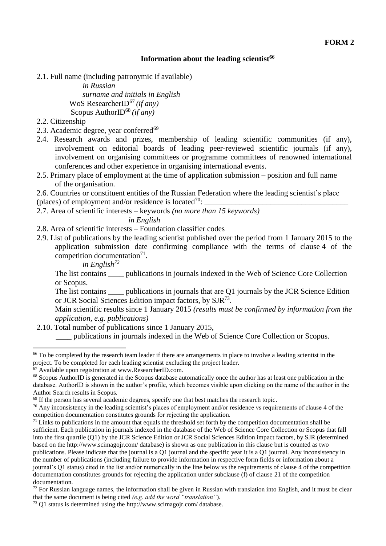# **Information about the leading scientist<sup>66</sup>**

2.1. Full name (including patronymic if available)

```
in Russian
    surname and initials in English
WoS ResearcherID<sup>67</sup> (if any)
Scopus AuthorID68 (if any)
```
2.2. Citizenship

-

- 2.3. Academic degree, year conferred $^{69}$
- 2.4. Research awards and prizes, membership of leading scientific communities (if any), involvement on editorial boards of leading peer-reviewed scientific journals (if any), involvement on organising committees or programme committees of renowned international conferences and other experience in organising international events.
- 2.5. Primary place of employment at the time of application submission position and full name of the organisation.

2.6. Countries or constituent entities of the Russian Federation where the leading scientist's place (places) of employment and/or residence is located<sup>70</sup>:

- 2.7. Area of scientific interests keywords *(no more than 15 keywords) in English*
- 2.8. Area of scientific interests Foundation classifier codes
- 2.9. List of publications by the leading scientist published over the period from 1 January 2015 to the application submission date confirming compliance with the terms of clause 4 of the competition documentation<sup>71</sup>.

*in English<sup>72</sup>*

The list contains publications in journals indexed in the Web of Science Core Collection or Scopus.

The list contains \_\_\_\_\_ publications in journals that are Q1 journals by the JCR Science Edition or JCR Social Sciences Edition impact factors, by SJR73.

Main scientific results since 1 January 2015 *(results must be confirmed by information from the application, e.g. publications)*

2.10. Total number of publications since 1 January 2015,

\_\_\_\_ publications in journals indexed in the Web of Science Core Collection or Scopus.

<sup>70</sup> Any inconsistency in the leading scientist's places of employment and/or residence vs requirements of clause 4 of the competition documentation constitutes grounds for rejecting the application.

 $66$  To be completed by the research team leader if there are arrangements in place to involve a leading scientist in the project. To be completed for each leading scientist excluding the project leader.

 $67$  Available upon registration at [www.ResearcherID.com.](http://www.researcherid.com/)

<sup>&</sup>lt;sup>68</sup> Scopus AuthorID is generated in the Scopus database automatically once the author has at least one publication in the database. AuthorID is shown in the author's profile, which becomes visible upon clicking on the name of the author in the Author Search results in Scopus.

<sup>&</sup>lt;sup>69</sup> If the person has several academic degrees, specify one that best matches the research topic.

 $71$  Links to publications in the amount that equals the threshold set forth by the competition documentation shall be sufficient. [Each publication in journals indexed in the database of the Web of Science Core Collection or Scopus that fall](http://www.scimagojr.com/)  [into the first quartile \(Q1\) by the JCR Science Edition or JCR Social Sciences Edition impact factors, by SJR \(determined](http://www.scimagojr.com/)  [based on the h](http://www.scimagojr.com/)ttp://www.scimagojr.com/ database) is shown as one publication in this clause but is counted as two publications. Please indicate that the journal is a Q1 journal and the specific year it is a Q1 journal. Any inconsistency in the number of publications (including failure to provide information in respective form fields or information about a journal's Q1 status) cited in the list and/or numerically in the line below vs the requirements of clause 4 of the competition documentation constitutes grounds for rejecting the application under subclause (f) of clause 21 of the competition documentation.

 $72$  For Russian language names, the information shall be given in Russian with translation into English, and it must be clear that the same document is being cited *(e.g. add the word "translation"*).

<sup>73</sup> Q1 status is determined using the [http://www.scimagojr.com/ database.](http://www.scimagojr.com/)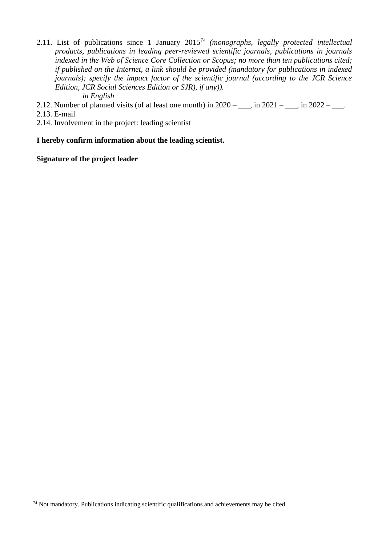2.11. List of publications since 1 January 2015<sup>74</sup> *(monographs, legally protected intellectual products, publications in leading peer-reviewed scientific journals, publications in journals indexed in the Web of Science Core Collection or Scopus; no more than ten publications cited; if published on the Internet, a link should be provided (mandatory for publications in indexed journals); specify the impact factor of the scientific journal (according to the JCR Science Edition, JCR Social Sciences Edition or SJR), if any)).*

## *in English*

- 2.12. Number of planned visits (of at least one month) in  $2020 \underline{\hspace{1cm}}$ , in  $2021 \underline{\hspace{1cm}}$ , in  $2022 \underline{\hspace{1cm}}$ .
- 2.13. E-mail

**.** 

2.14. Involvement in the project: leading scientist

## **I hereby confirm information about the leading scientist.**

### **Signature of the project leader**

<sup>74</sup> Not mandatory. Publications indicating scientific qualifications and achievements may be cited.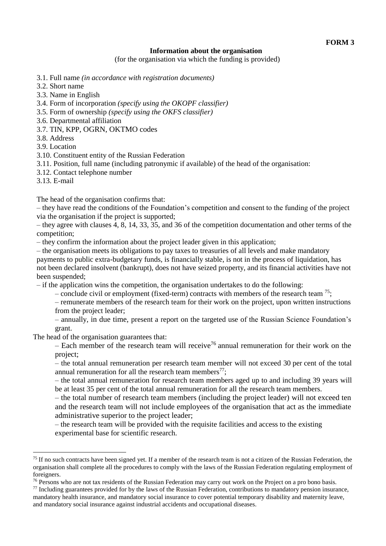#### **Information about the organisation**

(for the organisation via which the funding is provided)

- 3.1. Full name *(in accordance with registration documents)*
- 3.2. Short name
- 3.3. Name in English
- 3.4. Form of incorporation *(specify using the OKOPF classifier)*
- 3.5. Form of ownership *(specify using the OKFS classifier)*
- 3.6. Departmental affiliation
- 3.7. TIN, KPP, OGRN, OKTMO codes
- 3.8. Address

3.9. Location

- 3.10. Constituent entity of the Russian Federation
- 3.11. Position, full name (including patronymic if available) of the head of the organisation:
- 3.12. Contact telephone number
- 3.13. E-mail

1

The head of the organisation confirms that:

– they have read the conditions of the Foundation's competition and consent to the funding of the project via the organisation if the project is supported;

– they agree with clauses 4, 8, 14, 33, 35, and 36 of the competition documentation and other terms of the competition;

– they confirm the information about the project leader given in this application;

– the organisation meets its obligations to pay taxes to treasuries of all levels and make mandatory payments to public extra-budgetary funds, is financially stable, is not in the process of liquidation, has not been declared insolvent (bankrupt), does not have seized property, and its financial activities have not been suspended;

– if the application wins the competition, the organisation undertakes to do the following:

– conclude civil or employment (fixed-term) contracts with members of the research team  $^{75}$ ;

– remunerate members of the research team for their work on the project, upon written instructions from the project leader;

– annually, in due time, present a report on the targeted use of the Russian Science Foundation's grant.

The head of the organisation guarantees that:

 $-$  Each member of the research team will receive<sup>76</sup> annual remuneration for their work on the project;

– the total annual remuneration per research team member will not exceed 30 per cent of the total annual remuneration for all the research team members<sup>77</sup>;

– the total annual remuneration for research team members aged up to and including 39 years will be at least 35 per cent of the total annual remuneration for all the research team members.

– the total number of research team members (including the project leader) will not exceed ten and the research team will not include employees of the organisation that act as the immediate administrative superior to the project leader;

– the research team will be provided with the requisite facilities and access to the existing experimental base for scientific research.

<sup>&</sup>lt;sup>75</sup> If no such contracts have been signed yet. If a member of the research team is not a citizen of the Russian Federation, the organisation shall complete all the procedures to comply with the laws of the Russian Federation regulating employment of foreigners.

<sup>&</sup>lt;sup>76</sup> Persons who are not tax residents of the Russian Federation may carry out work on the Project on a pro bono basis.

 $77$  Including guarantees provided for by the laws of the Russian Federation, contributions to mandatory pension insurance, mandatory health insurance, and mandatory social insurance to cover potential temporary disability and maternity leave, and mandatory social insurance against industrial accidents and occupational diseases.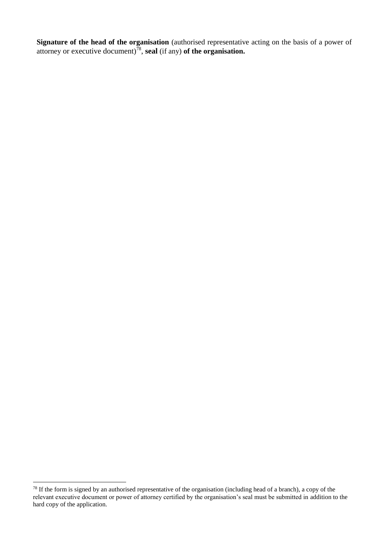**Signature of the head of the organisation** (authorised representative acting on the basis of a power of attorney or executive document) 78 , **seal** (if any) **of the organisation.**

**.** 

 $78$  If the form is signed by an authorised representative of the organisation (including head of a branch), a copy of the relevant executive document or power of attorney certified by the organisation's seal must be submitted in addition to the hard copy of the application.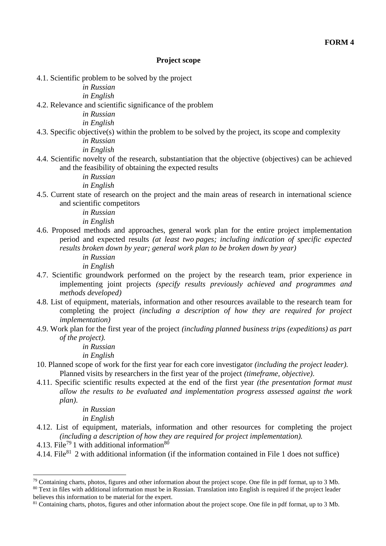#### **Project scope**

4.1. Scientific problem to be solved by the project

*in Russian*

*in English*

4.2. Relevance and scientific significance of the problem

*in Russian*

*in English*

4.3. Specific objective(s) within the problem to be solved by the project, its scope and complexity *in Russian*

*in English*

4.4. Scientific novelty of the research, substantiation that the objective (objectives) can be achieved and the feasibility of obtaining the expected results

*in Russian*

*in English*

4.5. Current state of research on the project and the main areas of research in international science and scientific competitors

*in Russian*

*in English*

- 4.6. Proposed methods and approaches, general work plan for the entire project implementation period and expected results *(at least two pages; including indication of specific expected results broken down by year; general work plan to be broken down by year)*
	- *in Russian in English*
- 4.7. Scientific groundwork performed on the project by the research team, prior experience in implementing joint projects *(specify results previously achieved and programmes and methods developed)*
- 4.8. List of equipment, materials, information and other resources available to the research team for completing the project *(including a description of how they are required for project implementation)*
- 4.9. Work plan for the first year of the project *(including planned business trips (expeditions) as part of the project).*

*in Russian*

*in English*

- 10. Planned scope of work for the first year for each core investigator *(including the project leader).* Planned visits by researchers in the first year of the project *(timeframe, objective)*.
- 4.11. Specific scientific results expected at the end of the first year *(the presentation format must allow the results to be evaluated and implementation progress assessed against the work plan)*.

*in Russian*

*in English*

- 4.12. List of equipment, materials, information and other resources for completing the project *(including a description of how they are required for project implementation).*
- 4.13. File<sup>79</sup> 1 with additional information<sup>80</sup>

**.** 

4.14. File<sup>81</sup> 2 with additional information (if the information contained in File 1 does not suffice)

 $79$  Containing charts, photos, figures and other information about the project scope. One file in pdf format, up to 3 Mb.

<sup>&</sup>lt;sup>80</sup> Text in files with additional information must be in Russian. Translation into English is required if the project leader believes this information to be material for the expert.

<sup>&</sup>lt;sup>81</sup> Containing charts, photos, figures and other information about the project scope. One file in pdf format, up to 3 Mb.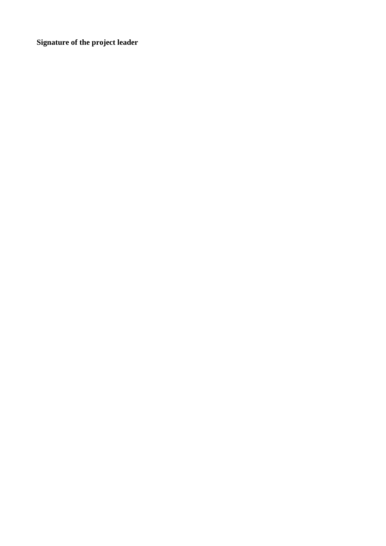**Signature of the project leader**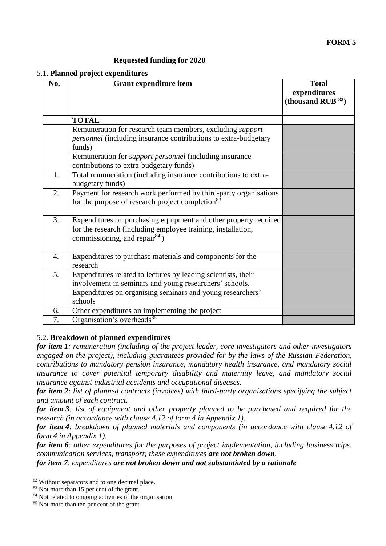# **FORM 5**

## **Requested funding for 2020**

| 5.1. Planned project expenditures |  |  |  |  |  |
|-----------------------------------|--|--|--|--|--|
|-----------------------------------|--|--|--|--|--|

| No. | <b>Grant expenditure item</b>                                                                                                                                                                     | <b>Total</b><br>expenditures<br>(thousand RUB $^{82}$ ) |
|-----|---------------------------------------------------------------------------------------------------------------------------------------------------------------------------------------------------|---------------------------------------------------------|
|     | <b>TOTAL</b>                                                                                                                                                                                      |                                                         |
|     | Remuneration for research team members, excluding <i>support</i><br><i>personnel</i> (including insurance contributions to extra-budgetary<br>funds)                                              |                                                         |
|     | Remuneration for <i>support personnel</i> (including insurance<br>contributions to extra-budgetary funds)                                                                                         |                                                         |
| 1.  | Total remuneration (including insurance contributions to extra-<br>budgetary funds)                                                                                                               |                                                         |
| 2.  | Payment for research work performed by third-party organisations<br>for the purpose of research project completion <sup>83</sup>                                                                  |                                                         |
| 3.  | Expenditures on purchasing equipment and other property required<br>for the research (including employee training, installation,<br>commissioning, and repair $84$ )                              |                                                         |
| 4.  | Expenditures to purchase materials and components for the<br>research                                                                                                                             |                                                         |
| 5.  | Expenditures related to lectures by leading scientists, their<br>involvement in seminars and young researchers' schools.<br>Expenditures on organising seminars and young researchers'<br>schools |                                                         |
| 6.  | Other expenditures on implementing the project                                                                                                                                                    |                                                         |
| 7.  | Organisation's overheads <sup>85</sup>                                                                                                                                                            |                                                         |

### 5.2. **Breakdown of planned expenditures**

*for item 1: remuneration (including of the project leader, core investigators and other investigators engaged on the project), including guarantees provided for by the laws of the Russian Federation, contributions to mandatory pension insurance, mandatory health insurance, and mandatory social insurance to cover potential temporary disability and maternity leave, and mandatory social insurance against industrial accidents and occupational diseases.*

*for item 2*: *list of planned contracts (invoices) with third-party organisations specifying the subject and amount of each contract.*

*for item 3: list of equipment and other property planned to be purchased and required for the research (in accordance with clause 4.12 of form 4 in Appendix 1).*

*for item 4: breakdown of planned materials and components (in accordance with clause 4.12 of form 4 in Appendix 1).*

*for item 6: other expenditures for the purposes of project implementation, including business trips, communication services, transport; these expenditures are not broken down.*

*for item 7*: *expenditures are not broken down and not substantiated by a rationale*

**.** 

<sup>82</sup> Without separators and to one decimal place.

<sup>&</sup>lt;sup>83</sup> Not more than 15 per cent of the grant.

<sup>&</sup>lt;sup>84</sup> Not related to ongoing activities of the organisation.

<sup>85</sup> Not more than ten per cent of the grant.